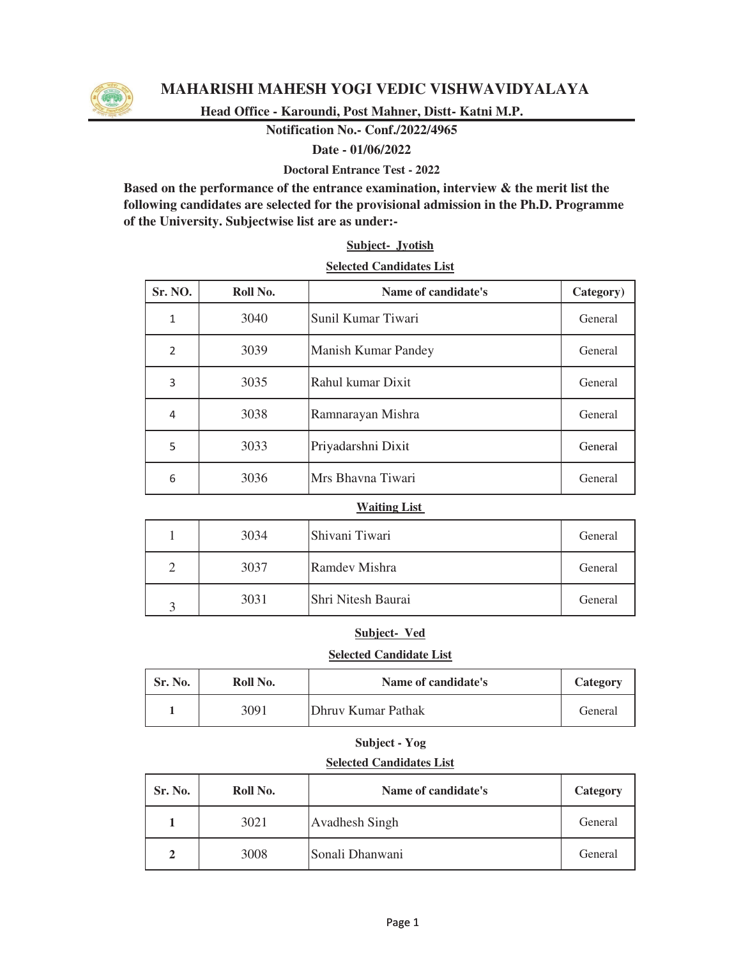

# **MAHARISHI MAHESH YOGI VEDIC VISHWAVIDYALAYA**

**Head Office - Karoundi, Post Mahner, Distt- Katni M.P.**

**Notification No.- Conf./2022/4965** 

### **Date - 01/06/2022**

**Doctoral Entrance Test - 2022**

**Based on the performance of the entrance examination, interview & the merit list the following candidates are selected for the provisional admission in the Ph.D. Programme of the University. Subjectwise list are as under:-**

## **Subject- Jyotish**

### **Selected Candidates List**

| Sr. NO.        | Roll No. | Name of candidate's        | Category) |
|----------------|----------|----------------------------|-----------|
| 1              | 3040     | Sunil Kumar Tiwari         | General   |
| $\overline{2}$ | 3039     | <b>Manish Kumar Pandey</b> | General   |
| 3              | 3035     | Rahul kumar Dixit          | General   |
| 4              | 3038     | Ramnarayan Mishra          | General   |
| 5              | 3033     | Priyadarshni Dixit         | General   |
| 6              | 3036     | Mrs Bhavna Tiwari          | General   |

#### **Waiting List**

|                   | 3034 | Shivani Tiwari     | General |
|-------------------|------|--------------------|---------|
| ◠                 | 3037 | Ramdev Mishra      | General |
| $\mathbf{\Omega}$ | 3031 | Shri Nitesh Baurai | General |

### **Subject- Ved**

#### **Selected Candidate List**

| Sr. No. | Roll No. | Name of candidate's        | Category |
|---------|----------|----------------------------|----------|
|         | 3091     | <b>IDhruy Kumar Pathak</b> | General  |

# **Subject - Yog**

### **Selected Candidates List**

| Sr. No. | Roll No. | Name of candidate's | Category |
|---------|----------|---------------------|----------|
|         | 3021     | Avadhesh Singh      | General  |
| 2       | 3008     | Sonali Dhanwani     | General  |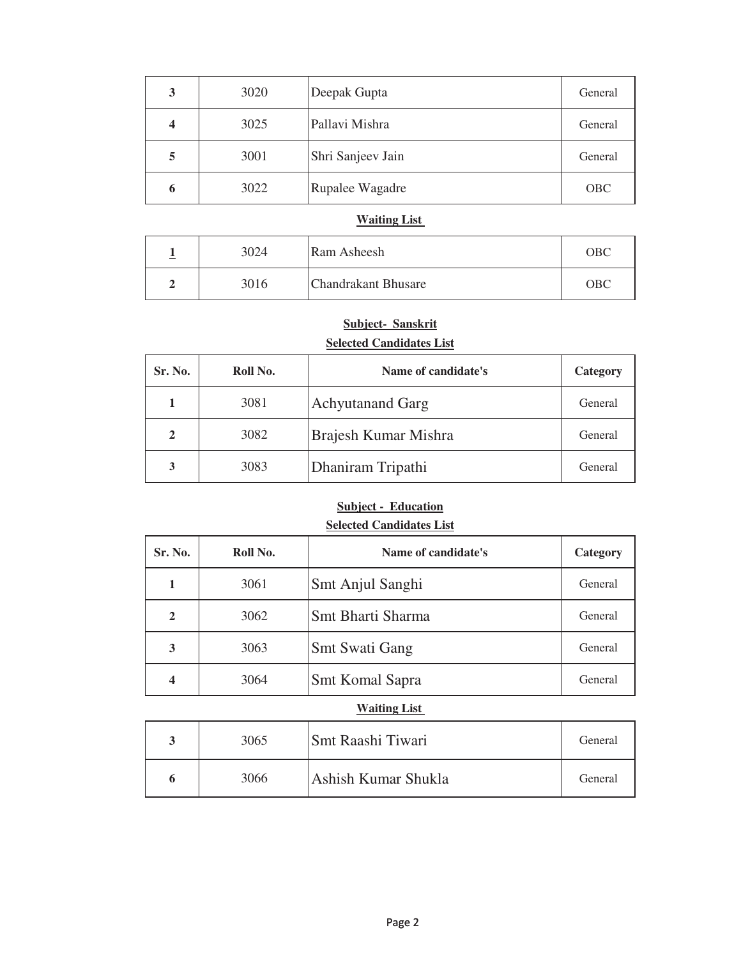| 3 | 3020 | Deepak Gupta      | General    |
|---|------|-------------------|------------|
| 4 | 3025 | Pallavi Mishra    | General    |
| 5 | 3001 | Shri Sanjeev Jain | General    |
| 6 | 3022 | Rupalee Wagadre   | <b>OBC</b> |

### **Waiting List**

| ∸ | 3024 | Ram Asheesh                | <b>OBC</b> |
|---|------|----------------------------|------------|
|   | 3016 | <b>Chandrakant Bhusare</b> | <b>OBC</b> |

# **Subject- Sanskrit**

# **Selected Candidates List**

| Sr. No.      | Roll No. | Name of candidate's     | Category |
|--------------|----------|-------------------------|----------|
|              | 3081     | <b>Achyutanand Garg</b> | General  |
| $\mathbf{2}$ | 3082     | Brajesh Kumar Mishra    | General  |
| 3            | 3083     | Dhaniram Tripathi       | General  |

## **Selected Candidates List Subject - Education**

| Sr. No.             | Roll No. | Name of candidate's   | Category |  |
|---------------------|----------|-----------------------|----------|--|
| 1                   | 3061     | Smt Anjul Sanghi      | General  |  |
| $\overline{2}$      | 3062     | Smt Bharti Sharma     | General  |  |
| 3                   | 3063     | <b>Smt Swati Gang</b> | General  |  |
| 4                   | 3064     | Smt Komal Sapra       | General  |  |
| <b>Waiting List</b> |          |                       |          |  |

|  | 3065 | <b>Smt Raashi Tiwari</b> | General |
|--|------|--------------------------|---------|
|  | 3066 | IAshish Kumar Shukla     | General |